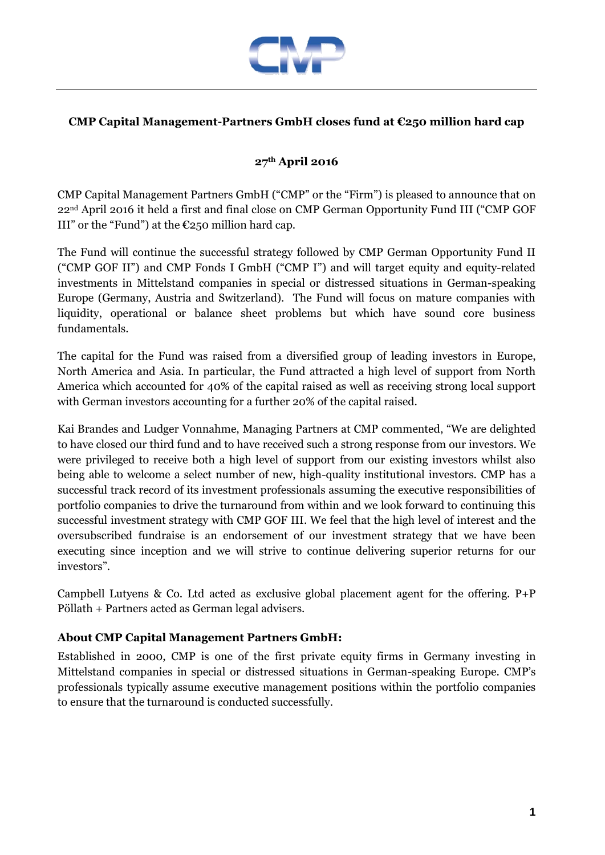

## **CMP Capital Management-Partners GmbH closes fund at €250 million hard cap**

## **27th April 2016**

CMP Capital Management Partners GmbH ("CMP" or the "Firm") is pleased to announce that on 22nd April 2016 it held a first and final close on CMP German Opportunity Fund III ("CMP GOF III" or the "Fund") at the  $E250$  million hard cap.

The Fund will continue the successful strategy followed by CMP German Opportunity Fund II ("CMP GOF II") and CMP Fonds I GmbH ("CMP I") and will target equity and equity-related investments in Mittelstand companies in special or distressed situations in German-speaking Europe (Germany, Austria and Switzerland). The Fund will focus on mature companies with liquidity, operational or balance sheet problems but which have sound core business fundamentals.

The capital for the Fund was raised from a diversified group of leading investors in Europe, North America and Asia. In particular, the Fund attracted a high level of support from North America which accounted for 40% of the capital raised as well as receiving strong local support with German investors accounting for a further 20% of the capital raised.

Kai Brandes and Ludger Vonnahme, Managing Partners at CMP commented, "We are delighted to have closed our third fund and to have received such a strong response from our investors. We were privileged to receive both a high level of support from our existing investors whilst also being able to welcome a select number of new, high-quality institutional investors. CMP has a successful track record of its investment professionals assuming the executive responsibilities of portfolio companies to drive the turnaround from within and we look forward to continuing this successful investment strategy with CMP GOF III. We feel that the high level of interest and the oversubscribed fundraise is an endorsement of our investment strategy that we have been executing since inception and we will strive to continue delivering superior returns for our investors".

Campbell Lutyens & Co. Ltd acted as exclusive global placement agent for the offering. P+P Pöllath + Partners acted as German legal advisers.

## **About CMP Capital Management Partners GmbH:**

Established in 2000, CMP is one of the first private equity firms in Germany investing in Mittelstand companies in special or distressed situations in German-speaking Europe. CMP's professionals typically assume executive management positions within the portfolio companies to ensure that the turnaround is conducted successfully.